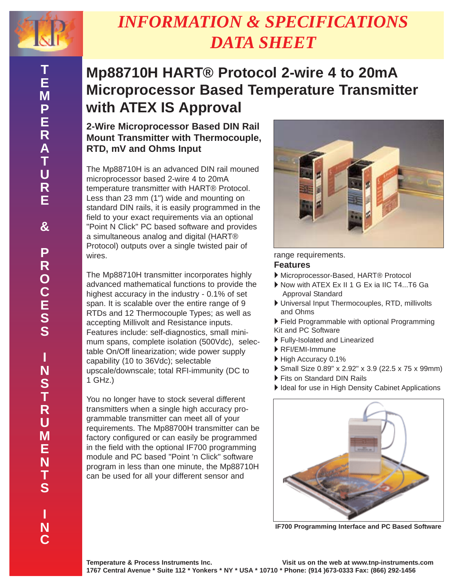

# *INFORMATION & SPECIFICATIONS DATA SHEET*

## **Mp88710H HART® Protocol 2-wire 4 to 20mA Microprocessor Based Temperature Transmitter with ATEX IS Approval**

### **2-Wire Microprocessor Based DIN Rail Mount Transmitter with Thermocouple, RTD, mV and Ohms Input**

The Mp88710H is an advanced DIN rail mouned microprocessor based 2-wire 4 to 20mA temperature transmitter with HART® Protocol. Less than 23 mm (1") wide and mounting on standard DIN rails, it is easily programmed in the field to your exact requirements via an optional "Point N Click" PC based software and provides a simultaneous analog and digital (HART® Protocol) outputs over a single twisted pair of wires.

The Mp88710H transmitter incorporates highly advanced mathematical functions to provide the highest accuracy in the industry - 0.1% of set span. It is scalable over the entire range of 9 RTDs and 12 Thermocouple Types; as well as accepting Millivolt and Resistance inputs. Features include: self-diagnostics, small minimum spans, complete isolation (500Vdc), selectable On/Off linearization; wide power supply capability (10 to 36Vdc); selectable upscale/downscale; total RFI-immunity (DC to 1 GHz.)

You no longer have to stock several different transmitters when a single high accuracy programmable transmitter can meet all of your requirements. The Mp88700H transmitter can be factory configured or can easily be programmed in the field with the optional IF700 programming module and PC based "Point 'n Click" software program in less than one minute, the Mp88710H can be used for all your different sensor and



range requirements.

#### **Features**

- ▶ Microprocessor-Based, HART® Protocol
- ` Now with ATEX Ex II 1 G Ex ia IIC T4...T6 Ga Approval Standard
- ` Universal Input Thermocouples, RTD, millivolts and Ohms
- ` Field Programmable with optional Programming Kit and PC Software
- ` Fully-Isolated and Linearized
- **REI/EMI-Immune**
- $\blacktriangleright$  High Accuracy 0.1%
- ▶ Small Size 0.89" x 2.92" x 3.9 (22.5 x 75 x 99mm)
- ` Fits on Standard DIN Rails
- Ideal for use in High Density Cabinet Applications



**IF700 Programming Interface and PC Based Software**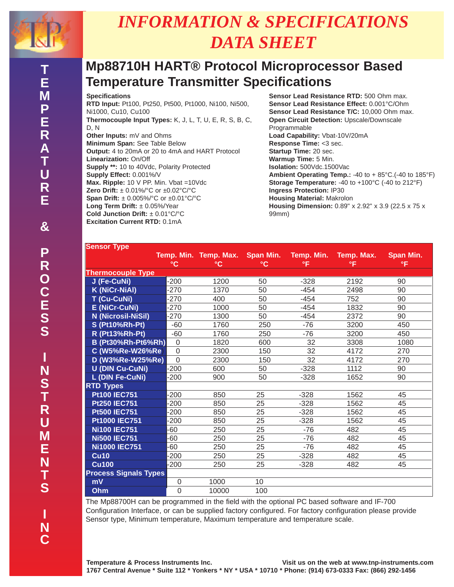

# *INFORMATION & SPECIFICATIONS DATA SHEET*

### **Mp88710H HART® Protocol Microprocessor Based Temperature Transmitter Specifications**

#### **Specifications**

**RTD Input:** Pt100, Pt250, Pt500, Pt1000, Ni100, Ni500, Ni1000, Cu10, Cu100 **Thermocouple Input Types:** K, J, L, T, U, E, R, S, B, C, D, N **Other Inputs:** mV and Ohms **Minimum Span:** See Table Below **Output:** 4 to 20mA or 20 to 4mA and HART Protocol **Linearization:** On/Off **Supply \*\*:** 10 to 40Vdc, Polarity Protected **Supply Effect:** 0.001%/V **Max. Ripple:** 10 V PP. Min. Vbat =10Vdc **Zero Drift:** ± 0.01%/°C or ±0.02°C/°C **Span Drift:** ± 0.005%/°C or ±0.01°C/°C **Long Term Drift:** ± 0.05%/Year **Cold Junction Drift:** ± 0.01°C/°C **Excitation Current RTD:** 0.1mA

**Sensor Lead Resistance RTD:** 500 Ohm max. **Sensor Lead Resistance Effect:** 0.001°C/Ohm **Sensor Lead Resistance T/C:** 10,000 Ohm max. **Open Circuit Detection: Upscale/Downscale** Programmable **Load Capability:** Vbat-10V/20mA **Response Time:** <3 sec. **Startup Time:** 20 sec. **Warmup Time:** 5 Min. **Isolation:** 500Vdc.1500Vac **Ambient Operating Temp.:** -40 to + 85°C.(-40 to 185°F) **Storage Temperature:** -40 to +100°C (-40 to 212°F) **Ingress Protection:** IP30 **Housing Material:** Makrolon **Housing Dimension:** 0.89" x 2.92" x 3.9 (22.5 x 75 x 99mm)

| <b>Sensor Type</b>           |                 |                             |                           |                  |                  |                 |
|------------------------------|-----------------|-----------------------------|---------------------------|------------------|------------------|-----------------|
|                              | $\rm ^{\circ}C$ | Temp. Min. Temp. Max.<br>°C | Span Min.<br>$^{\circ}$ C | Temp. Min.<br>°F | Temp. Max.<br>۰F | Span Min.<br>۰F |
| <b>Thermocouple Type</b>     |                 |                             |                           |                  |                  |                 |
| J (Fe-CuNi)                  | $-200$          | 1200                        | 50                        | $-328$           | 2192             | 90              |
| <b>K (NiCr-NiAl)</b>         | $-270$          | 1370                        | 50                        | $-454$           | 2498             | 90              |
| T (Cu-CuNi)                  | $-270$          | 400                         | 50                        | $-454$           | 752              | 90              |
| <b>E</b> (NiCr-CuNi)         | -270            | 1000                        | 50                        | $-454$           | 1832             | 90              |
| <b>N</b> (Nicrosil-NiSil)    | $-270$          | 1300                        | 50                        | $-454$           | 2372             | 90              |
| <b>S (Pt10%Rh-Pt)</b>        | $-60$           | 1760                        | 250                       | $-76$            | 3200             | 450             |
| <b>R</b> (Pt13%Rh-Pt)        | $-60$           | 1760                        | 250                       | $-76$            | 3200             | 450             |
| <b>B (Pt30%Rh-Pt6%Rh)</b>    | $\Omega$        | 1820                        | 600                       | 32               | 3308             | 1080            |
| C (W5%Re-W26%Re)             | $\Omega$        | 2300                        | 150                       | 32               | 4172             | 270             |
| D (W3%Re-W25%Re)             | $\overline{0}$  | 2300                        | 150                       | 32               | 4172             | 270             |
| <b>U (DIN Cu-CuNi)</b>       | -200            | 600                         | 50                        | $-328$           | 1112             | 90              |
| L (DIN Fe-CuNi)              | $-200$          | 900                         | 50                        | $-328$           | 1652             | 90              |
| <b>RTD Types</b>             |                 |                             |                           |                  |                  |                 |
| <b>Pt100 IEC751</b>          | $-200$          | 850                         | 25                        | $-328$           | 1562             | 45              |
| <b>Pt250 IEC751</b>          | $-200$          | 850                         | 25                        | $-328$           | 1562             | 45              |
| <b>Pt500 IEC751</b>          | $-200$          | 850                         | 25                        | $-328$           | 1562             | 45              |
| <b>Pt1000 IEC751</b>         | $-200$          | 850                         | 25                        | $-328$           | 1562             | 45              |
| <b>Ni100 IEC751</b>          | -60             | 250                         | 25                        | $-76$            | 482              | 45              |
| <b>Ni500 IEC751</b>          | -60             | 250                         | 25                        | $-76$            | 482              | 45              |
| <b>Ni1000 IEC751</b>         | $-60$           | 250                         | 25                        | $-76$            | 482              | 45              |
| <b>Cu10</b>                  | $-200$          | 250                         | 25                        | $-328$           | 482              | 45              |
| <b>Cu100</b>                 | $-200$          | 250                         | 25                        | $-328$           | 482              | 45              |
| <b>Process Signals Types</b> |                 |                             |                           |                  |                  |                 |
| mV                           | $\mathbf 0$     | 1000                        | 10                        |                  |                  |                 |
| Ohm                          | $\overline{0}$  | 10000                       | 100                       |                  |                  |                 |

The Mp88700H can be programmed in the field with the optional PC based software and IF-700 Configuration Interface, or can be supplied factory configured. For factory configuration please provide Sensor type, Minimum temperature, Maximum temperature and temperature scale.